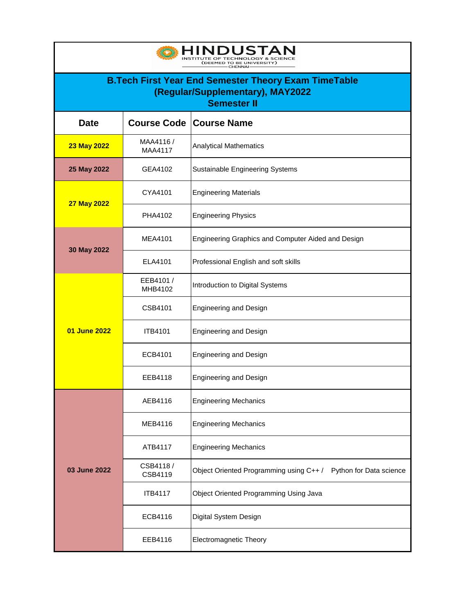| <b>INDUSTAN</b><br>TE OF TECHNOLOGY & SCIEN<br>DEEMED TO BE UNIVERSITY)<br><b>CHENNAI</b>                             |                             |                                                                   |  |
|-----------------------------------------------------------------------------------------------------------------------|-----------------------------|-------------------------------------------------------------------|--|
| <b>B.Tech First Year End Semester Theory Exam TimeTable</b><br>(Regular/Supplementary), MAY2022<br><b>Semester II</b> |                             |                                                                   |  |
| <b>Date</b>                                                                                                           | <b>Course Code</b>          | <b>Course Name</b>                                                |  |
| 23 May 2022                                                                                                           | MAA4116 /<br><b>MAA4117</b> | <b>Analytical Mathematics</b>                                     |  |
| 25 May 2022                                                                                                           | GEA4102                     | Sustainable Engineering Systems                                   |  |
| <b>27 May 2022</b>                                                                                                    | CYA4101                     | <b>Engineering Materials</b>                                      |  |
|                                                                                                                       | PHA4102                     | <b>Engineering Physics</b>                                        |  |
|                                                                                                                       | <b>MEA4101</b>              | Engineering Graphics and Computer Aided and Design                |  |
| 30 May 2022                                                                                                           | ELA4101                     | Professional English and soft skills                              |  |
|                                                                                                                       | EEB4101 /<br>MHB4102        | Introduction to Digital Systems                                   |  |
|                                                                                                                       | CSB4101                     | <b>Engineering and Design</b>                                     |  |
| 01 June 2022                                                                                                          | <b>ITB4101</b>              | <b>Engineering and Design</b>                                     |  |
|                                                                                                                       | ECB4101                     | <b>Engineering and Design</b>                                     |  |
|                                                                                                                       | EEB4118                     | <b>Engineering and Design</b>                                     |  |
|                                                                                                                       | AEB4116                     | <b>Engineering Mechanics</b>                                      |  |
|                                                                                                                       | MEB4116                     | <b>Engineering Mechanics</b>                                      |  |
| 03 June 2022                                                                                                          | ATB4117                     | <b>Engineering Mechanics</b>                                      |  |
|                                                                                                                       | CSB4118/<br>CSB4119         | Object Oriented Programming using C++/<br>Python for Data science |  |
|                                                                                                                       | <b>ITB4117</b>              | Object Oriented Programming Using Java                            |  |
|                                                                                                                       | ECB4116                     | Digital System Design                                             |  |
|                                                                                                                       | EEB4116                     | <b>Electromagnetic Theory</b>                                     |  |

 $\blacksquare$